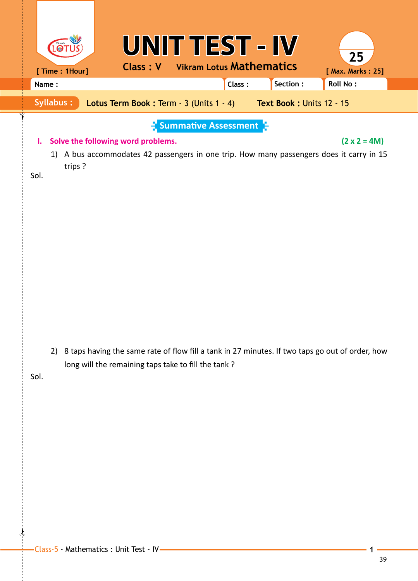|            |                  |                                                                                                                                                        | UNIT TEST - IV                                   |                                 |          | 25                  |
|------------|------------------|--------------------------------------------------------------------------------------------------------------------------------------------------------|--------------------------------------------------|---------------------------------|----------|---------------------|
|            | [ Time : 1Hour]  | <b>Class: V</b>                                                                                                                                        |                                                  | <b>Vikram Lotus Mathematics</b> |          | [ Max. Marks: 25]   |
| Name:      |                  |                                                                                                                                                        |                                                  | Class:                          | Section: | <b>Roll No:</b>     |
|            | <b>Syllabus:</b> | Lotus Term Book: Term - 3 (Units 1 - 4) Text Book: Units 12 - 15                                                                                       |                                                  |                                 |          |                     |
| ı.<br>Sol. | trips?           | Solve the following word problems.<br>1) A bus accommodates 42 passengers in one trip. How many passengers does it carry in 15                         | $\frac{1}{2}$ Summative Assessment $\frac{1}{2}$ |                                 |          | $(2 \times 2 = 4M)$ |
| Sol.       | 2)               | 8 taps having the same rate of flow fill a tank in 27 minutes. If two taps go out of order, how<br>long will the remaining taps take to fill the tank? |                                                  |                                 |          |                     |

 $\frac{1}{2}$ 

 $\int$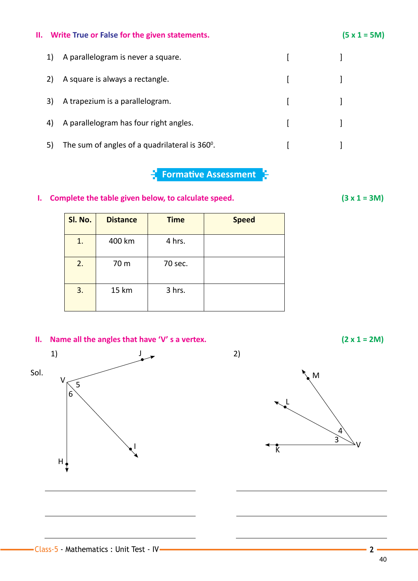# **II. Write True or False for the given statements. (5 x 1 = 5M)**

| 1) | A parallelogram is never a square.            |  |
|----|-----------------------------------------------|--|
|    | A square is always a rectangle.               |  |
| 3) | A trapezium is a parallelogram.               |  |
| 4) | A parallelogram has four right angles.        |  |
| 5) | The sum of angles of a quadrilateral is 360°. |  |

#### **Formative Assessment** ð

### **I.** Complete the table given below, to calculate speed.  $(3 \times 1 = 3M)$

| Sl. No. | <b>Distance</b> | <b>Time</b> | <b>Speed</b> |
|---------|-----------------|-------------|--------------|
| 1.      | 400 km          | 4 hrs.      |              |
| 2.      | 70 m            | 70 sec.     |              |
| 3.      | 15 km           | 3 hrs.      |              |

# **II.** Name all the angles that have 'V' s a vertex.  $(2 \times 1 = 2M)$



M

V  $\overline{\mathsf{k}}$ 4 3

L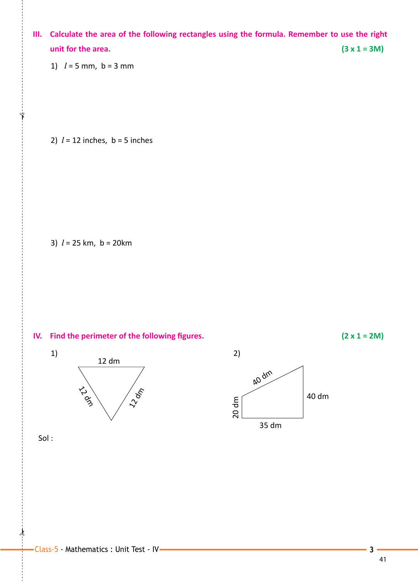**III. Calculate the area of the following rectangles using the formula. Remember to use the right unit for the area.**  $(3 \times 1 = 3M)$ 

1) *l* = 5 mm, b = 3 mm

 $\int_{0}^{1}$ 

2)  $l = 12$  inches,  $b = 5$  inches

3) *l* = 25 km, b = 20km







Sol :

 $\ast$ 

41